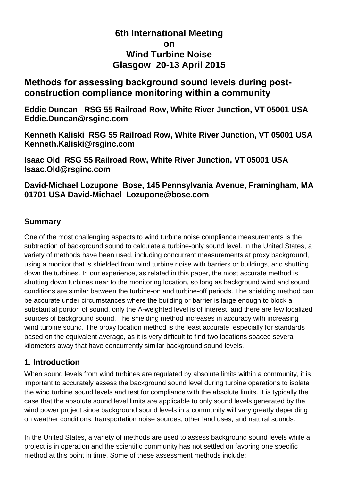# **6th International Meeting on Wind Turbine Noise Glasgow 20-13 April 2015**

# **Methods for assessing background sound levels during postconstruction compliance monitoring within a community**

**Eddie Duncan RSG 55 Railroad Row, White River Junction, VT 05001 USA Eddie.Duncan@rsginc.com**

**Kenneth Kaliski RSG 55 Railroad Row, White River Junction, VT 05001 USA Kenneth.Kaliski@rsginc.com**

**Isaac Old RSG 55 Railroad Row, White River Junction, VT 05001 USA Isaac.Old@rsginc.com**

## **David-Michael Lozupone Bose, 145 Pennsylvania Avenue, Framingham, MA 01701 USA David-Michael\_Lozupone@bose.com**

## **Summary**

One of the most challenging aspects to wind turbine noise compliance measurements is the subtraction of background sound to calculate a turbine-only sound level. In the United States, a variety of methods have been used, including concurrent measurements at proxy background, using a monitor that is shielded from wind turbine noise with barriers or buildings, and shutting down the turbines. In our experience, as related in this paper, the most accurate method is shutting down turbines near to the monitoring location, so long as background wind and sound conditions are similar between the turbine-on and turbine-off periods. The shielding method can be accurate under circumstances where the building or barrier is large enough to block a substantial portion of sound, only the A-weighted level is of interest, and there are few localized sources of background sound. The shielding method increases in accuracy with increasing wind turbine sound. The proxy location method is the least accurate, especially for standards based on the equivalent average, as it is very difficult to find two locations spaced several kilometers away that have concurrently similar background sound levels.

## **1. Introduction**

When sound levels from wind turbines are regulated by absolute limits within a community, it is important to accurately assess the background sound level during turbine operations to isolate the wind turbine sound levels and test for compliance with the absolute limits. It is typically the case that the absolute sound level limits are applicable to only sound levels generated by the wind power project since background sound levels in a community will vary greatly depending on weather conditions, transportation noise sources, other land uses, and natural sounds.

In the United States, a variety of methods are used to assess background sound levels while a project is in operation and the scientific community has not settled on favoring one specific method at this point in time. Some of these assessment methods include: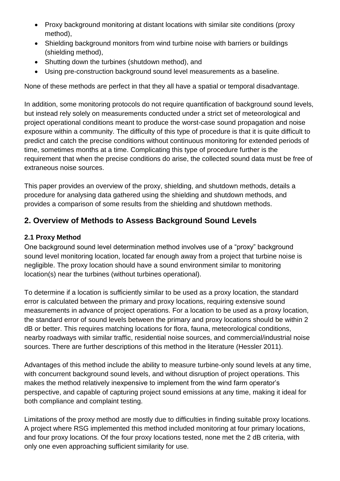- Proxy background monitoring at distant locations with similar site conditions (proxy method),
- Shielding background monitors from wind turbine noise with barriers or buildings (shielding method),
- Shutting down the turbines (shutdown method), and
- Using pre-construction background sound level measurements as a baseline.

None of these methods are perfect in that they all have a spatial or temporal disadvantage.

In addition, some monitoring protocols do not require quantification of background sound levels, but instead rely solely on measurements conducted under a strict set of meteorological and project operational conditions meant to produce the worst-case sound propagation and noise exposure within a community. The difficulty of this type of procedure is that it is quite difficult to predict and catch the precise conditions without continuous monitoring for extended periods of time, sometimes months at a time. Complicating this type of procedure further is the requirement that when the precise conditions do arise, the collected sound data must be free of extraneous noise sources.

This paper provides an overview of the proxy, shielding, and shutdown methods, details a procedure for analysing data gathered using the shielding and shutdown methods, and provides a comparison of some results from the shielding and shutdown methods.

# **2. Overview of Methods to Assess Background Sound Levels**

### **2.1 Proxy Method**

One background sound level determination method involves use of a "proxy" background sound level monitoring location, located far enough away from a project that turbine noise is negligible. The proxy location should have a sound environment similar to monitoring location(s) near the turbines (without turbines operational).

To determine if a location is sufficiently similar to be used as a proxy location, the standard error is calculated between the primary and proxy locations, requiring extensive sound measurements in advance of project operations. For a location to be used as a proxy location, the standard error of sound levels between the primary and proxy locations should be within 2 dB or better. This requires matching locations for flora, fauna, meteorological conditions, nearby roadways with similar traffic, residential noise sources, and commercial/industrial noise sources. There are further descriptions of this method in the literature (Hessler 2011).

Advantages of this method include the ability to measure turbine-only sound levels at any time, with concurrent background sound levels, and without disruption of project operations. This makes the method relatively inexpensive to implement from the wind farm operator's perspective, and capable of capturing project sound emissions at any time, making it ideal for both compliance and complaint testing.

Limitations of the proxy method are mostly due to difficulties in finding suitable proxy locations. A project where RSG implemented this method included monitoring at four primary locations, and four proxy locations. Of the four proxy locations tested, none met the 2 dB criteria, with only one even approaching sufficient similarity for use.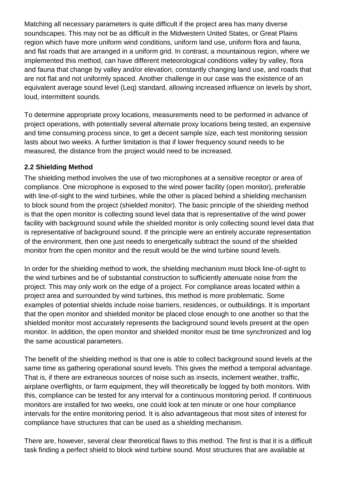Matching all necessary parameters is quite difficult if the project area has many diverse soundscapes. This may not be as difficult in the Midwestern United States, or Great Plains region which have more uniform wind conditions, uniform land use, uniform flora and fauna, and flat roads that are arranged in a uniform grid. In contrast, a mountainous region, where we implemented this method, can have different meteorological conditions valley by valley, flora and fauna that change by valley and/or elevation, constantly changing land use, and roads that are not flat and not uniformly spaced. Another challenge in our case was the existence of an equivalent average sound level (Leq) standard, allowing increased influence on levels by short, loud, intermittent sounds.

To determine appropriate proxy locations, measurements need to be performed in advance of project operations, with potentially several alternate proxy locations being tested, an expensive and time consuming process since, to get a decent sample size, each test monitoring session lasts about two weeks. A further limitation is that if lower frequency sound needs to be measured, the distance from the project would need to be increased.

### **2.2 Shielding Method**

The shielding method involves the use of two microphones at a sensitive receptor or area of compliance. One microphone is exposed to the wind power facility (open monitor), preferable with line-of-sight to the wind turbines, while the other is placed behind a shielding mechanism to block sound from the project (shielded monitor). The basic principle of the shielding method is that the open monitor is collecting sound level data that is representative of the wind power facility with background sound while the shielded monitor is only collecting sound level data that is representative of background sound. If the principle were an entirely accurate representation of the environment, then one just needs to energetically subtract the sound of the shielded monitor from the open monitor and the result would be the wind turbine sound levels.

In order for the shielding method to work, the shielding mechanism must block line-of-sight to the wind turbines and be of substantial construction to sufficiently attenuate noise from the project. This may only work on the edge of a project. For compliance areas located within a project area and surrounded by wind turbines, this method is more problematic. Some examples of potential shields include noise barriers, residences, or outbuildings. It is important that the open monitor and shielded monitor be placed close enough to one another so that the shielded monitor most accurately represents the background sound levels present at the open monitor. In addition, the open monitor and shielded monitor must be time synchronized and log the same acoustical parameters.

The benefit of the shielding method is that one is able to collect background sound levels at the same time as gathering operational sound levels. This gives the method a temporal advantage. That is, if there are extraneous sources of noise such as insects, inclement weather, traffic, airplane overflights, or farm equipment, they will theoretically be logged by both monitors. With this, compliance can be tested for any interval for a continuous monitoring period. If continuous monitors are installed for two weeks, one could look at ten minute or one hour compliance intervals for the entire monitoring period. It is also advantageous that most sites of interest for compliance have structures that can be used as a shielding mechanism.

There are, however, several clear theoretical flaws to this method. The first is that it is a difficult task finding a perfect shield to block wind turbine sound. Most structures that are available at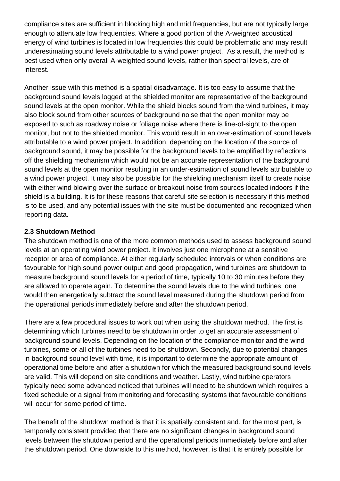compliance sites are sufficient in blocking high and mid frequencies, but are not typically large enough to attenuate low frequencies. Where a good portion of the A-weighted acoustical energy of wind turbines is located in low frequencies this could be problematic and may result underestimating sound levels attributable to a wind power project. As a result, the method is best used when only overall A-weighted sound levels, rather than spectral levels, are of interest.

Another issue with this method is a spatial disadvantage. It is too easy to assume that the background sound levels logged at the shielded monitor are representative of the background sound levels at the open monitor. While the shield blocks sound from the wind turbines, it may also block sound from other sources of background noise that the open monitor may be exposed to such as roadway noise or foliage noise where there is line-of-sight to the open monitor, but not to the shielded monitor. This would result in an over-estimation of sound levels attributable to a wind power project. In addition, depending on the location of the source of background sound, it may be possible for the background levels to be amplified by reflections off the shielding mechanism which would not be an accurate representation of the background sound levels at the open monitor resulting in an under-estimation of sound levels attributable to a wind power project. It may also be possible for the shielding mechanism itself to create noise with either wind blowing over the surface or breakout noise from sources located indoors if the shield is a building. It is for these reasons that careful site selection is necessary if this method is to be used, and any potential issues with the site must be documented and recognized when reporting data.

#### **2.3 Shutdown Method**

The shutdown method is one of the more common methods used to assess background sound levels at an operating wind power project. It involves just one microphone at a sensitive receptor or area of compliance. At either regularly scheduled intervals or when conditions are favourable for high sound power output and good propagation, wind turbines are shutdown to measure background sound levels for a period of time, typically 10 to 30 minutes before they are allowed to operate again. To determine the sound levels due to the wind turbines, one would then energetically subtract the sound level measured during the shutdown period from the operational periods immediately before and after the shutdown period.

There are a few procedural issues to work out when using the shutdown method. The first is determining which turbines need to be shutdown in order to get an accurate assessment of background sound levels. Depending on the location of the compliance monitor and the wind turbines, some or all of the turbines need to be shutdown. Secondly, due to potential changes in background sound level with time, it is important to determine the appropriate amount of operational time before and after a shutdown for which the measured background sound levels are valid. This will depend on site conditions and weather. Lastly, wind turbine operators typically need some advanced noticed that turbines will need to be shutdown which requires a fixed schedule or a signal from monitoring and forecasting systems that favourable conditions will occur for some period of time.

The benefit of the shutdown method is that it is spatially consistent and, for the most part, is temporally consistent provided that there are no significant changes in background sound levels between the shutdown period and the operational periods immediately before and after the shutdown period. One downside to this method, however, is that it is entirely possible for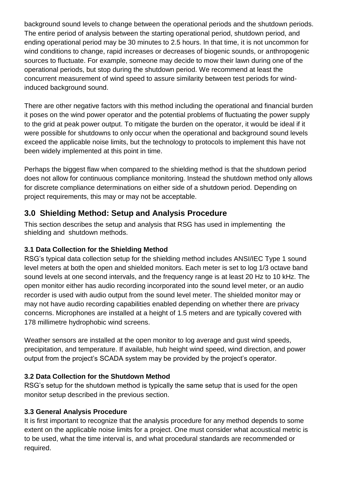background sound levels to change between the operational periods and the shutdown periods. The entire period of analysis between the starting operational period, shutdown period, and ending operational period may be 30 minutes to 2.5 hours. In that time, it is not uncommon for wind conditions to change, rapid increases or decreases of biogenic sounds, or anthropogenic sources to fluctuate. For example, someone may decide to mow their lawn during one of the operational periods, but stop during the shutdown period. We recommend at least the concurrent measurement of wind speed to assure similarity between test periods for windinduced background sound.

There are other negative factors with this method including the operational and financial burden it poses on the wind power operator and the potential problems of fluctuating the power supply to the grid at peak power output. To mitigate the burden on the operator, it would be ideal if it were possible for shutdowns to only occur when the operational and background sound levels exceed the applicable noise limits, but the technology to protocols to implement this have not been widely implemented at this point in time.

Perhaps the biggest flaw when compared to the shielding method is that the shutdown period does not allow for continuous compliance monitoring. Instead the shutdown method only allows for discrete compliance determinations on either side of a shutdown period. Depending on project requirements, this may or may not be acceptable.

## **3.0 Shielding Method: Setup and Analysis Procedure**

This section describes the setup and analysis that RSG has used in implementing the shielding and shutdown methods.

#### **3.1 Data Collection for the Shielding Method**

RSG's typical data collection setup for the shielding method includes ANSI/IEC Type 1 sound level meters at both the open and shielded monitors. Each meter is set to log 1/3 octave band sound levels at one second intervals, and the frequency range is at least 20 Hz to 10 kHz. The open monitor either has audio recording incorporated into the sound level meter, or an audio recorder is used with audio output from the sound level meter. The shielded monitor may or may not have audio recording capabilities enabled depending on whether there are privacy concerns. Microphones are installed at a height of 1.5 meters and are typically covered with 178 millimetre hydrophobic wind screens.

Weather sensors are installed at the open monitor to log average and gust wind speeds, precipitation, and temperature. If available, hub height wind speed, wind direction, and power output from the project's SCADA system may be provided by the project's operator.

#### **3.2 Data Collection for the Shutdown Method**

RSG's setup for the shutdown method is typically the same setup that is used for the open monitor setup described in the previous section.

#### **3.3 General Analysis Procedure**

It is first important to recognize that the analysis procedure for any method depends to some extent on the applicable noise limits for a project. One must consider what acoustical metric is to be used, what the time interval is, and what procedural standards are recommended or required.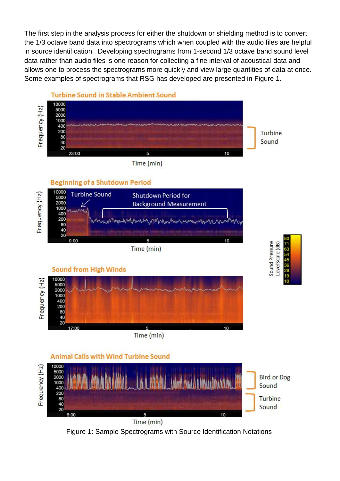The first step in the analysis process for either the shutdown or shielding method is to convert the 1/3 octave band data into spectrograms which when coupled with the audio files are helpful in source identification. Developing spectrograms from 1-second 1/3 octave band sound level data rather than audio files is one reason for collecting a fine interval of acoustical data and allows one to process the spectrograms more quickly and view large quantities of data at once. Some examples of spectrograms that RSG has developed are presented in [Figure 1.](#page-5-0)



<span id="page-5-0"></span>Figure 1: Sample Spectrograms with Source Identification Notations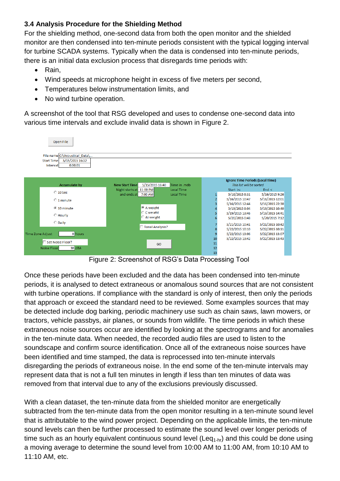### **3.4 Analysis Procedure for the Shielding Method**

For the shielding method, one-second data from both the open monitor and the shielded monitor are then condensed into ten-minute periods consistent with the typical logging interval for turbine SCADA systems. Typically when the data is condensed into ten-minute periods, there is an initial data exclusion process that disregards time periods with:

- Rain.
- Wind speeds at microphone height in excess of five meters per second,
- Temperatures below instrumentation limits, and
- No wind turbine operation.

A screenshot of the tool that RSG developed and uses to condense one-second data into various time intervals and exclude invalid data is shown in [Figure 2.](#page-6-0)



Figure 2: Screenshot of RSG's Data Processing Tool

<span id="page-6-0"></span>Once these periods have been excluded and the data has been condensed into ten-minute periods, it is analysed to detect extraneous or anomalous sound sources that are not consistent with turbine operations. If compliance with the standard is only of interest, then only the periods that approach or exceed the standard need to be reviewed. Some examples sources that may be detected include dog barking, periodic machinery use such as chain saws, lawn mowers, or tractors, vehicle passbys, air planes, or sounds from wildlife. The time periods in which these extraneous noise sources occur are identified by looking at the spectrograms and for anomalies in the ten-minute data. When needed, the recorded audio files are used to listen to the soundscape and confirm source identification. Once all of the extraneous noise sources have been identified and time stamped, the data is reprocessed into ten-minute intervals disregarding the periods of extraneous noise. In the end some of the ten-minute intervals may represent data that is not a full ten minutes in length if less than ten minutes of data was removed from that interval due to any of the exclusions previously discussed.

With a clean dataset, the ten-minute data from the shielded monitor are energetically subtracted from the ten-minute data from the open monitor resulting in a ten-minute sound level that is attributable to the wind power project. Depending on the applicable limits, the ten-minute sound levels can then be further processed to estimate the sound level over longer periods of time such as an hourly equivalent continuous sound level (Leq<sub>1-hr</sub>) and this could be done using a moving average to determine the sound level from 10:00 AM to 11:00 AM, from 10:10 AM to 11:10 AM, etc.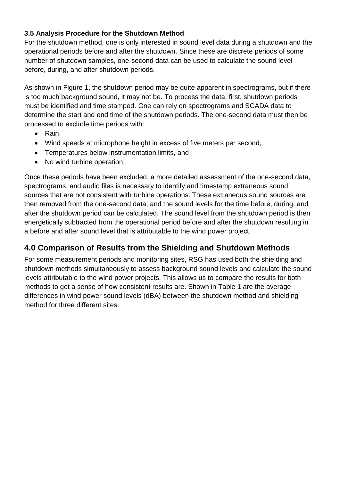### **3.5 Analysis Procedure for the Shutdown Method**

For the shutdown method, one is only interested in sound level data during a shutdown and the operational periods before and after the shutdown. Since these are discrete periods of some number of shutdown samples, one-second data can be used to calculate the sound level before, during, and after shutdown periods.

As shown in [Figure 1,](#page-5-0) the shutdown period may be quite apparent in spectrograms, but if there is too much background sound, it may not be. To process the data, first, shutdown periods must be identified and time stamped. One can rely on spectrograms and SCADA data to determine the start and end time of the shutdown periods. The one-second data must then be processed to exclude time periods with:

- Rain,
- Wind speeds at microphone height in excess of five meters per second,
- Temperatures below instrumentation limits, and
- No wind turbine operation.

Once these periods have been excluded, a more detailed assessment of the one-second data, spectrograms, and audio files is necessary to identify and timestamp extraneous sound sources that are not consistent with turbine operations. These extraneous sound sources are then removed from the one-second data, and the sound levels for the time before, during, and after the shutdown period can be calculated. The sound level from the shutdown period is then energetically subtracted from the operational period before and after the shutdown resulting in a before and after sound level that is attributable to the wind power project.

## **4.0 Comparison of Results from the Shielding and Shutdown Methods**

For some measurement periods and monitoring sites, RSG has used both the shielding and shutdown methods simultaneously to assess background sound levels and calculate the sound levels attributable to the wind power projects. This allows us to compare the results for both methods to get a sense of how consistent results are. Shown in [Table 1](#page-8-0) are the average differences in wind power sound levels (dBA) between the shutdown method and shielding method for three different sites.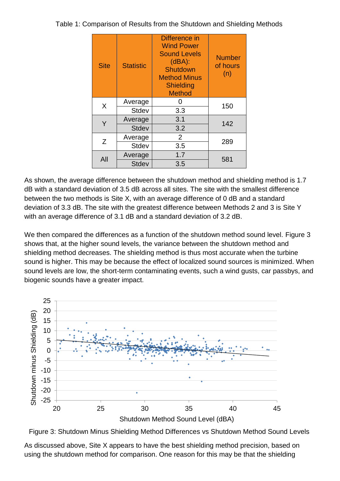<span id="page-8-0"></span>

|  | Table 1: Comparison of Results from the Shutdown and Shielding Methods |  |  |
|--|------------------------------------------------------------------------|--|--|

| <b>Site</b> | <b>Statistic</b> | Difference in<br><b>Wind Power</b><br><b>Sound Levels</b><br>(dBA):<br>Shutdown<br><b>Method Minus</b><br><b>Shielding</b><br><b>Method</b> | <b>Number</b><br>of hours<br>(n) |  |
|-------------|------------------|---------------------------------------------------------------------------------------------------------------------------------------------|----------------------------------|--|
| X           | Average          |                                                                                                                                             | 150                              |  |
|             | Stdev            | 3.3                                                                                                                                         |                                  |  |
| Y           | Average          | 3.1<br>142                                                                                                                                  |                                  |  |
|             | <b>Stdev</b>     | 3.2                                                                                                                                         |                                  |  |
| Z           | Average          | 2                                                                                                                                           | 289                              |  |
|             | <b>Stdev</b>     | 3.5                                                                                                                                         |                                  |  |
| All         | Average          | 1.7                                                                                                                                         | 581                              |  |
|             | <b>Stdev</b>     | 3.5                                                                                                                                         |                                  |  |

As shown, the average difference between the shutdown method and shielding method is 1.7 dB with a standard deviation of 3.5 dB across all sites. The site with the smallest difference between the two methods is Site X, with an average difference of 0 dB and a standard deviation of 3.3 dB. The site with the greatest difference between Methods 2 and 3 is Site Y with an average difference of 3.1 dB and a standard deviation of 3.2 dB.

We then compared the differences as a function of the shutdown method sound level. [Figure 3](#page-8-1) shows that, at the higher sound levels, the variance between the shutdown method and shielding method decreases. The shielding method is thus most accurate when the turbine sound is higher. This may be because the effect of localized sound sources is minimized. When sound levels are low, the short-term contaminating events, such a wind gusts, car passbys, and biogenic sounds have a greater impact.



<span id="page-8-1"></span>Figure 3: Shutdown Minus Shielding Method Differences vs Shutdown Method Sound Levels

As discussed above, Site X appears to have the best shielding method precision, based on using the shutdown method for comparison. One reason for this may be that the shielding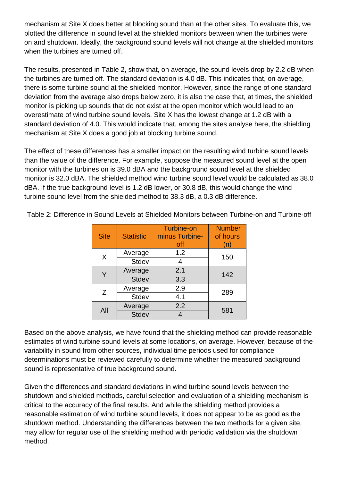mechanism at Site X does better at blocking sound than at the other sites. To evaluate this, we plotted the difference in sound level at the shielded monitors between when the turbines were on and shutdown. Ideally, the background sound levels will not change at the shielded monitors when the turbines are turned off.

The results, presented in [Table 2,](#page-9-0) show that, on average, the sound levels drop by 2.2 dB when the turbines are turned off. The standard deviation is 4.0 dB. This indicates that, on average, there is some turbine sound at the shielded monitor. However, since the range of one standard deviation from the average also drops below zero, it is also the case that, at times, the shielded monitor is picking up sounds that do not exist at the open monitor which would lead to an overestimate of wind turbine sound levels. Site X has the lowest change at 1.2 dB with a standard deviation of 4.0. This would indicate that, among the sites analyse here, the shielding mechanism at Site X does a good job at blocking turbine sound.

The effect of these differences has a smaller impact on the resulting wind turbine sound levels than the value of the difference. For example, suppose the measured sound level at the open monitor with the turbines on is 39.0 dBA and the background sound level at the shielded monitor is 32.0 dBA. The shielded method wind turbine sound level would be calculated as 38.0 dBA. If the true background level is 1.2 dB lower, or 30.8 dB, this would change the wind turbine sound level from the shielded method to 38.3 dB, a 0.3 dB difference.

| <b>Site</b> | <b>Statistic</b>    | <b>Turbine-on</b><br>minus Turbine-<br>off | <b>Number</b><br>of hours<br>(n) |  |
|-------------|---------------------|--------------------------------------------|----------------------------------|--|
| X           | Average             | 1.2                                        | 150                              |  |
|             | <b>Stdev</b><br>4   |                                            |                                  |  |
|             | Average             | 2.1                                        | 142                              |  |
|             | <b>Stdev</b>        | 3.3                                        |                                  |  |
| Z           | Average             | 2.9                                        | 289                              |  |
|             | <b>Stdev</b><br>4.1 |                                            |                                  |  |
| All         | Average             | 2.2                                        | 581                              |  |
|             | <b>Stdev</b>        |                                            |                                  |  |

<span id="page-9-0"></span>Table 2: Difference in Sound Levels at Shielded Monitors between Turbine-on and Turbine-off

Based on the above analysis, we have found that the shielding method can provide reasonable estimates of wind turbine sound levels at some locations, on average. However, because of the variability in sound from other sources, individual time periods used for compliance determinations must be reviewed carefully to determine whether the measured background sound is representative of true background sound.

Given the differences and standard deviations in wind turbine sound levels between the shutdown and shielded methods, careful selection and evaluation of a shielding mechanism is critical to the accuracy of the final results. And while the shielding method provides a reasonable estimation of wind turbine sound levels, it does not appear to be as good as the shutdown method. Understanding the differences between the two methods for a given site, may allow for regular use of the shielding method with periodic validation via the shutdown method.